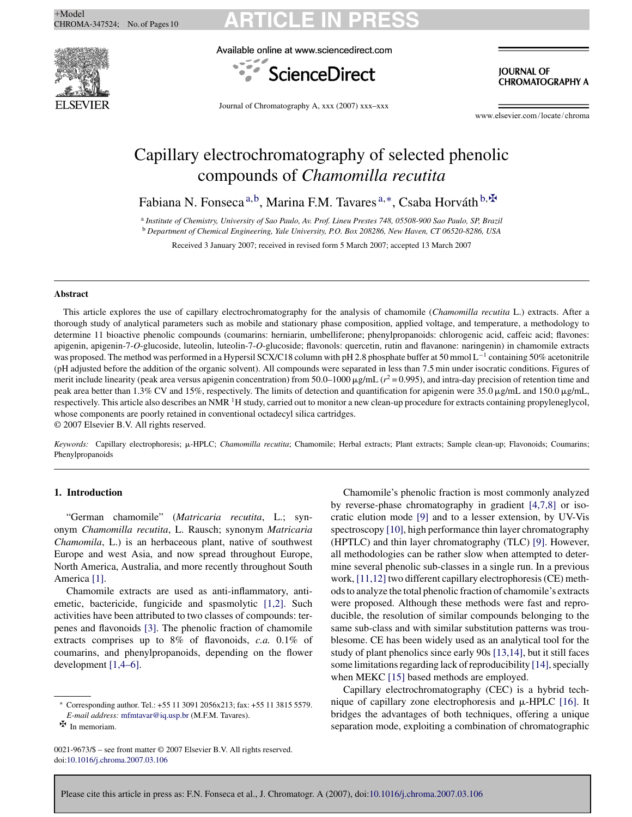

Available online at www.sciencedirect.com



**JOURNAL OF CHROMATOGRAPHY A** 

Journal of Chromatography A, xxx (2007) xxx–xxx

www.elsevier.com/locate/chroma

### Capillary electrochromatography of selected phenolic compounds of *Chamomilla recutita*

Fabiana N. Fonseca<sup>a,b</sup>, Marina F.M. Tavares<sup>a,∗</sup>, Csaba Horváth<sup>b,</sup><sup> $\Phi$ </sup>

<sup>a</sup> *Institute of Chemistry, University of Sao Paulo, Av. Prof. Lineu Prestes 748, 05508-900 Sao Paulo, SP, Brazil* <sup>b</sup> *Department of Chemical Engineering, Yale University, P.O. Box 208286, New Haven, CT 06520-8286, USA*

Received 3 January 2007; received in revised form 5 March 2007; accepted 13 March 2007

#### **Abstract**

This article explores the use of capillary electrochromatography for the analysis of chamomile (*Chamomilla recutita* L.) extracts. After a thorough study of analytical parameters such as mobile and stationary phase composition, applied voltage, and temperature, a methodology to determine 11 bioactive phenolic compounds (coumarins: herniarin, umbelliferone; phenylpropanoids: chlorogenic acid, caffeic acid; flavones: apigenin, apigenin-7-*O*-glucoside, luteolin, luteolin-7-*O*-glucoside; flavonols: quercetin, rutin and flavanone: naringenin) in chamomile extracts was proposed. The method was performed in a Hypersil SCX/C18 column with pH 2.8 phosphate buffer at 50 mmol L<sup>−1</sup> containing 50% acetonitrile (pH adjusted before the addition of the organic solvent). All compounds were separated in less than 7.5 min under isocratic conditions. Figures of merit include linearity (peak area versus apigenin concentration) from 50.0–1000  $\mu$ g/mL ( $r^2$  = 0.995), and intra-day precision of retention time and peak area better than 1.3% CV and 15%, respectively. The limits of detection and quantification for apigenin were 35.0  $\mu$ g/mL and 150.0  $\mu$ g/mL, respectively. This article also describes an NMR<sup>1</sup>H study, carried out to monitor a new clean-up procedure for extracts containing propyleneglycol, whose components are poorly retained in conventional octadecyl silica cartridges.

© 2007 Elsevier B.V. All rights reserved.

*Keywords:* Capillary electrophoresis; !-HPLC; *Chamomilla recutita*; Chamomile; Herbal extracts; Plant extracts; Sample clean-up; Flavonoids; Coumarins; Phenylpropanoids

#### **1. Introduction**

"German chamomile" (*Matricaria recutita*, L.; synonym *Chamomilla recutita*, L. Rausch; synonym *Matricaria Chamomila*, L.) is an herbaceous plant, native of southwest Europe and west Asia, and now spread throughout Europe, North America, Australia, and more recently throughout South America [1].

Chamomile extracts are used as anti-inflammatory, antiemetic, bactericide, fungicide and spasmolytic [1,2]. Such activities have been attributed to two classes of compounds: terpenes and flavonoids [3]. The phenolic fraction of chamomile extracts comprises up to 8% of flavonoids, *c.a.* 0.1% of coumarins, and phenylpropanoids, depending on the flower development [1,4–6].

0021-9673/\$ – see front matter © 2007 Elsevier B.V. All rights reserved. doi:10.1016/j.chroma.2007.03.106

Chamomile's phenolic fraction is most commonly analyzed by reverse-phase chromatography in gradient [4,7,8] or isocratic elution mode [9] and to a lesser extension, by UV-Vis spectroscopy [10], high performance thin layer chromatography (HPTLC) and thin layer chromatography (TLC) [9]. However, all methodologies can be rather slow when attempted to determine several phenolic sub-classes in a single run. In a previous work, [11,12] two different capillary electrophoresis (CE) methods to analyze the total phenolic fraction of chamomile's extracts were proposed. Although these methods were fast and reproducible, the resolution of similar compounds belonging to the same sub-class and with similar substitution patterns was troublesome. CE has been widely used as an analytical tool for the study of plant phenolics since early 90s [13,14], but it still faces some limitations regarding lack of reproducibility [14], specially when MEKC [15] based methods are employed.

Capillary electrochromatography (CEC) is a hybrid technique of capillary zone electrophoresis and  $\mu$ -HPLC [16]. It bridges the advantages of both techniques, offering a unique separation mode, exploiting a combination of chromatographic

Please cite this article in press as: F.N. Fonseca et al., J. Chromatogr. A (2007), doi:10.1016/j.chroma.2007.03.106

<sup>∗</sup> Corresponding author. Tel.: +55 11 3091 2056x213; fax: +55 11 3815 5579. *E-mail address:* mfmtavar@iq.usp.br (M.F.M. Tavares).

 $\mathbf{\Psi}$  In memoriam.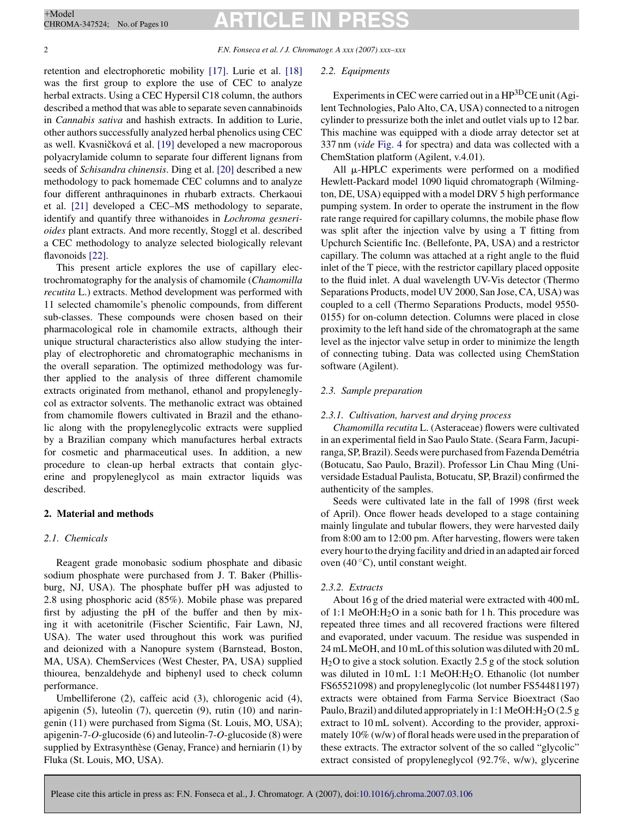2 *F.N. Fonseca et al. / J. Chromatogr. A xxx (2007) xxx–xxx*

retention and electrophoretic mobility [17]. Lurie et al. [18] was the first group to explore the use of CEC to analyze herbal extracts. Using a CEC Hypersil C18 column, the authors described a method that was able to separate seven cannabinoids in *Cannabis sativa* and hashish extracts. In addition to Lurie, other authors successfully analyzed herbal phenolics using CEC as well. Kvasničková et al. [19] developed a new macroporous polyacrylamide column to separate four different lignans from seeds of *Schisandra chinensis*. Ding et al. [20] described a new methodology to pack homemade CEC columns and to analyze four different anthraquinones in rhubarb extracts. Cherkaoui et al. [21] developed a CEC–MS methodology to separate, identify and quantify three withanoides in *Lochroma gesnerioides* plant extracts. And more recently, Stoggl et al. described a CEC methodology to analyze selected biologically relevant flavonoids [22].

This present article explores the use of capillary electrochromatography for the analysis of chamomile (*Chamomilla recutita* L.) extracts. Method development was performed with 11 selected chamomile's phenolic compounds, from different sub-classes. These compounds were chosen based on their pharmacological role in chamomile extracts, although their unique structural characteristics also allow studying the interplay of electrophoretic and chromatographic mechanisms in the overall separation. The optimized methodology was further applied to the analysis of three different chamomile extracts originated from methanol, ethanol and propyleneglycol as extractor solvents. The methanolic extract was obtained from chamomile flowers cultivated in Brazil and the ethanolic along with the propyleneglycolic extracts were supplied by a Brazilian company which manufactures herbal extracts for cosmetic and pharmaceutical uses. In addition, a new procedure to clean-up herbal extracts that contain glycerine and propyleneglycol as main extractor liquids was described.

### **2. Material and methods**

#### *2.1. Chemicals*

Reagent grade monobasic sodium phosphate and dibasic sodium phosphate were purchased from J. T. Baker (Phillisburg, NJ, USA). The phosphate buffer pH was adjusted to 2.8 using phosphoric acid (85%). Mobile phase was prepared first by adjusting the pH of the buffer and then by mixing it with acetonitrile (Fischer Scientific, Fair Lawn, NJ, USA). The water used throughout this work was purified and deionized with a Nanopure system (Barnstead, Boston, MA, USA). ChemServices (West Chester, PA, USA) supplied thiourea, benzaldehyde and biphenyl used to check column performance.

Umbelliferone (2), caffeic acid (3), chlorogenic acid (4), apigenin (5), luteolin (7), quercetin (9), rutin (10) and naringenin (11) were purchased from Sigma (St. Louis, MO, USA); apigenin-7-*O*-glucoside (6) and luteolin-7-*O*-glucoside (8) were supplied by Extrasynthèse (Genay, France) and herniarin (1) by Fluka (St. Louis, MO, USA).

#### *2.2. Equipments*

Experiments in CEC were carried out in a HP<sup>3D</sup>CE unit (Agilent Technologies, Palo Alto, CA, USA) connected to a nitrogen cylinder to pressurize both the inlet and outlet vials up to 12 bar. This machine was equipped with a diode array detector set at 337 nm (*vide* Fig. 4 for spectra) and data was collected with a ChemStation platform (Agilent, v.4.01).

All  $\mu$ -HPLC experiments were performed on a modified Hewlett-Packard model 1090 liquid chromatograph (Wilmington, DE, USA) equipped with a model DRV 5 high performance pumping system. In order to operate the instrument in the flow rate range required for capillary columns, the mobile phase flow was split after the injection valve by using a T fitting from Upchurch Scientific Inc. (Bellefonte, PA, USA) and a restrictor capillary. The column was attached at a right angle to the fluid inlet of the T piece, with the restrictor capillary placed opposite to the fluid inlet. A dual wavelength UV-Vis detector (Thermo Separations Products, model UV 2000, San Jose, CA, USA) was coupled to a cell (Thermo Separations Products, model 9550- 0155) for on-column detection. Columns were placed in close proximity to the left hand side of the chromatograph at the same level as the injector valve setup in order to minimize the length of connecting tubing. Data was collected using ChemStation software (Agilent).

#### *2.3. Sample preparation*

#### *2.3.1. Cultivation, harvest and drying process*

*Chamomilla recutita* L. (Asteraceae) flowers were cultivated in an experimental field in Sao Paulo State. (Seara Farm, Jacupiranga, SP, Brazil). Seeds were purchased from Fazenda Demetria ´ (Botucatu, Sao Paulo, Brazil). Professor Lin Chau Ming (Universidade Estadual Paulista, Botucatu, SP, Brazil) confirmed the authenticity of the samples.

Seeds were cultivated late in the fall of 1998 (first week of April). Once flower heads developed to a stage containing mainly lingulate and tubular flowers, they were harvested daily from 8:00 am to 12:00 pm. After harvesting, flowers were taken every hour to the drying facility and dried in an adapted air forced oven  $(40^{\circ}$ C), until constant weight.

#### *2.3.2. Extracts*

About 16 g of the dried material were extracted with 400 mL of 1:1 MeOH: $H<sub>2</sub>O$  in a sonic bath for 1 h. This procedure was repeated three times and all recovered fractions were filtered and evaporated, under vacuum. The residue was suspended in 24 mLMeOH, and 10 mL of this solution was diluted with 20 mL H2O to give a stock solution. Exactly 2.5 g of the stock solution was diluted in 10 mL 1:1 MeOH:H<sub>2</sub>O. Ethanolic (lot number FS65521098) and propyleneglycolic (lot number FS54481197) extracts were obtained from Farma Service Bioextract (Sao Paulo, Brazil) and diluted appropriately in 1:1 MeOH:  $H<sub>2</sub>O(2.5 g)$ extract to 10 mL solvent). According to the provider, approximately 10% (w/w) of floral heads were used in the preparation of these extracts. The extractor solvent of the so called "glycolic" extract consisted of propyleneglycol (92.7%, w/w), glycerine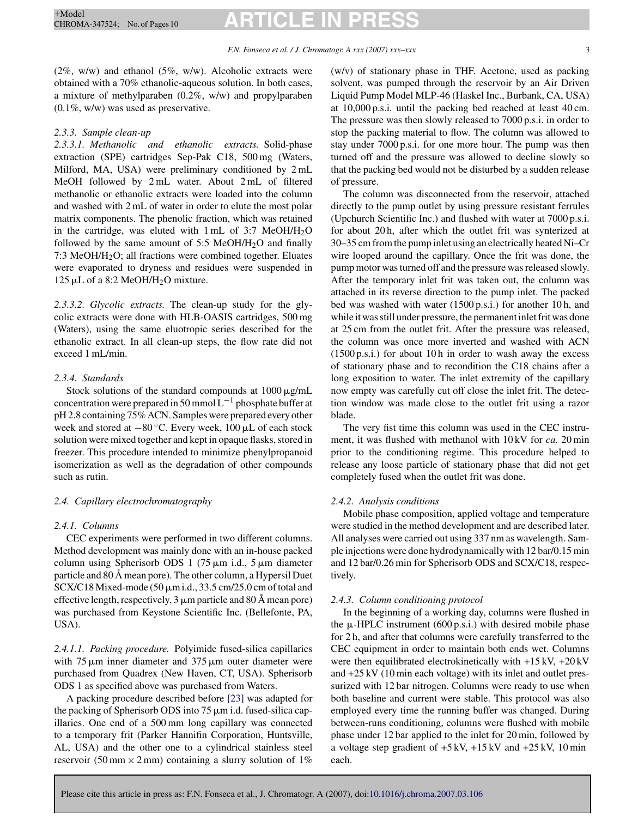$(2\%, w/w)$  and ethanol  $(5\%, w/w)$ . Alcoholic extracts were obtained with a 70% ethanolic-aqueous solution. In both cases, a mixture of methylparaben (0.2%, w/w) and propylparaben (0.1%, w/w) was used as preservative.

#### *2.3.3. Sample clean-up*

*2.3.3.1. Methanolic and ethanolic extracts.* Solid-phase extraction (SPE) cartridges Sep-Pak C18, 500 mg (Waters, Milford, MA, USA) were preliminary conditioned by 2 mL MeOH followed by 2 mL water. About 2 mL of filtered methanolic or ethanolic extracts were loaded into the column and washed with 2 mL of water in order to elute the most polar matrix components. The phenolic fraction, which was retained in the cartridge, was eluted with  $1 \text{ mL of } 3:7 \text{ MeOH/H}_2\text{O}$ followed by the same amount of  $5:5$  MeOH/H<sub>2</sub>O and finally 7:3 MeOH/H2O; all fractions were combined together. Eluates were evaporated to dryness and residues were suspended in 125  $\mu$ L of a 8:2 MeOH/H<sub>2</sub>O mixture.

*2.3.3.2. Glycolic extracts.* The clean-up study for the glycolic extracts were done with HLB-OASIS cartridges, 500 mg (Waters), using the same eluotropic series described for the ethanolic extract. In all clean-up steps, the flow rate did not exceed 1 mL/min.

#### *2.3.4. Standards*

Stock solutions of the standard compounds at  $1000 \mu g/mL$ concentration were prepared in 50 mmol  $L^{-1}$  phosphate buffer at pH 2.8 containing 75% ACN. Samples were prepared every other week and stored at  $-80$  °C. Every week, 100  $\mu$ L of each stock solution were mixed together and kept in opaque flasks, stored in freezer. This procedure intended to minimize phenylpropanoid isomerization as well as the degradation of other compounds such as rutin.

#### *2.4. Capillary electrochromatography*

#### *2.4.1. Columns*

CEC experiments were performed in two different columns. Method development was mainly done with an in-house packed column using Spherisorb ODS 1 (75  $\mu$ m i.d., 5  $\mu$ m diameter particle and 80 Å mean pore). The other column, a Hypersil Duet  $SCX/C18 Mixed-mode (50 µm i.d., 33.5 cm/25.0 cm of total and$ effective length, respectively,  $3 \mu m$  particle and  $80 \text{ Å}$  mean pore) was purchased from Keystone Scientific Inc. (Bellefonte, PA, USA).

*2.4.1.1. Packing procedure.* Polyimide fused-silica capillaries with  $75 \mu m$  inner diameter and  $375 \mu m$  outer diameter were purchased from Quadrex (New Haven, CT, USA). Spherisorb ODS 1 as specified above was purchased from Waters.

A packing procedure described before [23] was adapted for the packing of Spherisorb ODS into  $75 \mu m$  i.d. fused-silica capillaries. One end of a 500 mm long capillary was connected to a temporary frit (Parker Hannifin Corporation, Huntsville, AL, USA) and the other one to a cylindrical stainless steel reservoir (50 mm  $\times$  2 mm) containing a slurry solution of 1% (w/v) of stationary phase in THF. Acetone, used as packing solvent, was pumped through the reservoir by an Air Driven Liquid Pump Model MLP-46 (Haskel Inc., Burbank, CA, USA) at 10,000 p.s.i. until the packing bed reached at least 40 cm. The pressure was then slowly released to 7000 p.s.i. in order to stop the packing material to flow. The column was allowed to stay under 7000 p.s.i. for one more hour. The pump was then turned off and the pressure was allowed to decline slowly so that the packing bed would not be disturbed by a sudden release of pressure.

The column was disconnected from the reservoir, attached directly to the pump outlet by using pressure resistant ferrules (Upchurch Scientific Inc.) and flushed with water at 7000 p.s.i. for about 20 h, after which the outlet frit was synterized at 30–35 cm from the pump inlet using an electrically heated Ni–Cr wire looped around the capillary. Once the frit was done, the pump motor was turned off and the pressure was released slowly. After the temporary inlet frit was taken out, the column was attached in its reverse direction to the pump inlet. The packed bed was washed with water (1500 p.s.i.) for another 10 h, and while it was still under pressure, the permanent inlet frit was done at 25 cm from the outlet frit. After the pressure was released, the column was once more inverted and washed with ACN  $(1500 \text{ p.s. i.})$  for about 10 h in order to wash away the excess of stationary phase and to recondition the C18 chains after a long exposition to water. The inlet extremity of the capillary now empty was carefully cut off close the inlet frit. The detection window was made close to the outlet frit using a razor blade.

The very fist time this column was used in the CEC instrument, it was flushed with methanol with 10 kV for *ca.* 20 min prior to the conditioning regime. This procedure helped to release any loose particle of stationary phase that did not get completely fused when the outlet frit was done.

#### *2.4.2. Analysis conditions*

Mobile phase composition, applied voltage and temperature were studied in the method development and are described later. All analyses were carried out using 337 nm as wavelength. Sample injections were done hydrodynamically with 12 bar/0.15 min and 12 bar/0.26 min for Spherisorb ODS and SCX/C18, respectively.

#### *2.4.3. Column conditioning protocol*

In the beginning of a working day, columns were flushed in the  $\mu$ -HPLC instrument (600 p.s.i.) with desired mobile phase for 2 h, and after that columns were carefully transferred to the CEC equipment in order to maintain both ends wet. Columns were then equilibrated electrokinetically with +15 kV, +20 kV and +25 kV (10 min each voltage) with its inlet and outlet pressurized with 12 bar nitrogen. Columns were ready to use when both baseline and current were stable. This protocol was also employed every time the running buffer was changed. During between-runs conditioning, columns were flushed with mobile phase under 12 bar applied to the inlet for 20 min, followed by a voltage step gradient of +5 kV, +15 kV and +25 kV, 10 min each.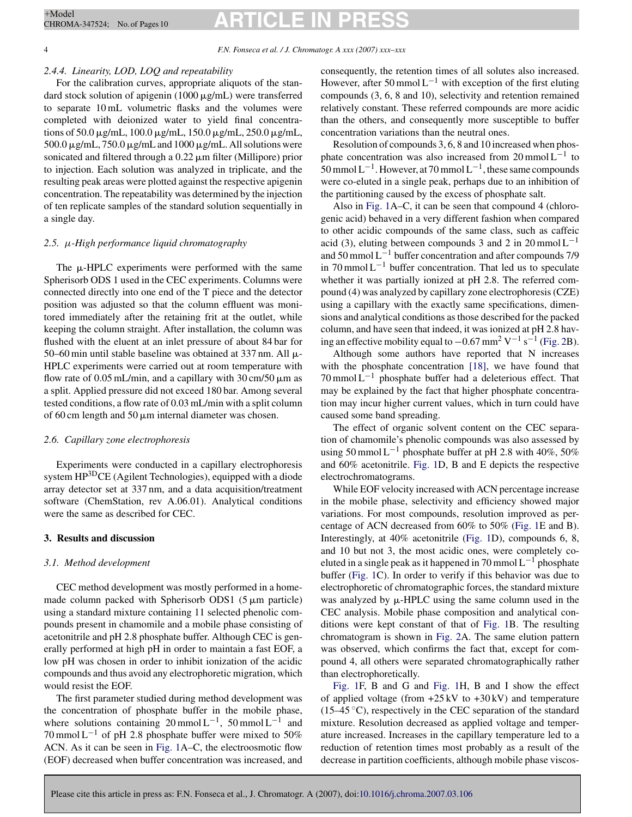#### *2.4.4. Linearity, LOD, LOQ and repeatability*

For the calibration curves, appropriate aliquots of the standard stock solution of apigenin (1000  $\mu$ g/mL) were transferred to separate 10 mL volumetric flasks and the volumes were completed with deionized water to yield final concentrations of 50.0  $\mu$ g/mL, 100.0  $\mu$ g/mL, 150.0  $\mu$ g/mL, 250.0  $\mu$ g/mL,  $500.0 \,\mu$ g/mL, 750.0  $\mu$ g/mL and 1000  $\mu$ g/mL. All solutions were sonicated and filtered through a  $0.22 \mu m$  filter (Millipore) prior to injection. Each solution was analyzed in triplicate, and the resulting peak areas were plotted against the respective apigenin concentration. The repeatability was determined by the injection of ten replicate samples of the standard solution sequentially in a single day.

#### *2.5. µ-High performance liquid chromatography*

The  $\mu$ -HPLC experiments were performed with the same Spherisorb ODS 1 used in the CEC experiments. Columns were connected directly into one end of the T piece and the detector position was adjusted so that the column effluent was monitored immediately after the retaining frit at the outlet, while keeping the column straight. After installation, the column was flushed with the eluent at an inlet pressure of about 84 bar for 50–60 min until stable baseline was obtained at 337 nm. All  $\mu$ -HPLC experiments were carried out at room temperature with flow rate of 0.05 mL/min, and a capillary with  $30 \text{ cm}/50 \mu \text{m}$  as a split. Applied pressure did not exceed 180 bar. Among several tested conditions, a flow rate of 0.03 mL/min with a split column of 60 cm length and 50  $\mu$ m internal diameter was chosen.

#### *2.6. Capillary zone electrophoresis*

Experiments were conducted in a capillary electrophoresis system HP<sup>3D</sup>CE (Agilent Technologies), equipped with a diode array detector set at 337 nm, and a data acquisition/treatment software (ChemStation, rev A.06.01). Analytical conditions were the same as described for CEC.

#### **3. Results and discussion**

#### *3.1. Method development*

CEC method development was mostly performed in a homemade column packed with Spherisorb ODS1  $(5 \mu m)$  particle) using a standard mixture containing 11 selected phenolic compounds present in chamomile and a mobile phase consisting of acetonitrile and pH 2.8 phosphate buffer. Although CEC is generally performed at high pH in order to maintain a fast EOF, a low pH was chosen in order to inhibit ionization of the acidic compounds and thus avoid any electrophoretic migration, which would resist the EOF.

The first parameter studied during method development was the concentration of phosphate buffer in the mobile phase, where solutions containing  $20 \text{ mmol } L^{-1}$ , 50 mmol L<sup>-1</sup> and 70 mmol L<sup>-1</sup> of pH 2.8 phosphate buffer were mixed to 50% ACN. As it can be seen in Fig. 1A–C, the electroosmotic flow (EOF) decreased when buffer concentration was increased, and

consequently, the retention times of all solutes also increased. However, after 50 mmol  $L^{-1}$  with exception of the first eluting compounds (3, 6, 8 and 10), selectivity and retention remained relatively constant. These referred compounds are more acidic than the others, and consequently more susceptible to buffer concentration variations than the neutral ones.

Resolution of compounds 3, 6, 8 and 10 increased when phosphate concentration was also increased from  $20 \text{ mmol} L^{-1}$  to 50 mmol  $L^{-1}$ . However, at 70 mmol  $L^{-1}$ , these same compounds were co-eluted in a single peak, perhaps due to an inhibition of the partitioning caused by the excess of phosphate salt.

Also in Fig. 1A–C, it can be seen that compound 4 (chlorogenic acid) behaved in a very different fashion when compared to other acidic compounds of the same class, such as caffeic acid (3), eluting between compounds 3 and 2 in 20 mmol  $L^{-1}$ and 50 mmol L−<sup>1</sup> buffer concentration and after compounds 7/9 in 70 mmol  $L^{-1}$  buffer concentration. That led us to speculate whether it was partially ionized at pH 2.8. The referred compound (4) was analyzed by capillary zone electrophoresis (CZE) using a capillary with the exactly same specifications, dimensions and analytical conditions as those described for the packed column, and have seen that indeed, it was ionized at pH 2.8 having an effective mobility equal to  $-0.67$  mm<sup>2</sup> V<sup>-1</sup> s<sup>-1</sup> (Fig. 2B).

Although some authors have reported that N increases with the phosphate concentration [18], we have found that  $70$  mmol L<sup>-1</sup> phosphate buffer had a deleterious effect. That may be explained by the fact that higher phosphate concentration may incur higher current values, which in turn could have caused some band spreading.

The effect of organic solvent content on the CEC separation of chamomile's phenolic compounds was also assessed by using 50 mmol L<sup>-1</sup> phosphate buffer at pH 2.8 with 40%, 50% and 60% acetonitrile. Fig. 1D, B and E depicts the respective electrochromatograms.

While EOF velocity increased with ACN percentage increase in the mobile phase, selectivity and efficiency showed major variations. For most compounds, resolution improved as percentage of ACN decreased from 60% to 50% (Fig. 1E and B). Interestingly, at 40% acetonitrile (Fig. 1D), compounds 6, 8, and 10 but not 3, the most acidic ones, were completely coeluted in a single peak as it happened in 70 mmol  $L^{-1}$  phosphate buffer (Fig. 1C). In order to verify if this behavior was due to electrophoretic of chromatographic forces, the standard mixture was analyzed by  $\mu$ -HPLC using the same column used in the CEC analysis. Mobile phase composition and analytical conditions were kept constant of that of Fig. 1B. The resulting chromatogram is shown in Fig. 2A. The same elution pattern was observed, which confirms the fact that, except for compound 4, all others were separated chromatographically rather than electrophoretically.

Fig. 1F, B and G and Fig. 1H, B and I show the effect of applied voltage (from  $+25 \text{ kV}$  to  $+30 \text{ kV}$ ) and temperature  $(15-45 \degree C)$ , respectively in the CEC separation of the standard mixture. Resolution decreased as applied voltage and temperature increased. Increases in the capillary temperature led to a reduction of retention times most probably as a result of the decrease in partition coefficients, although mobile phase viscos-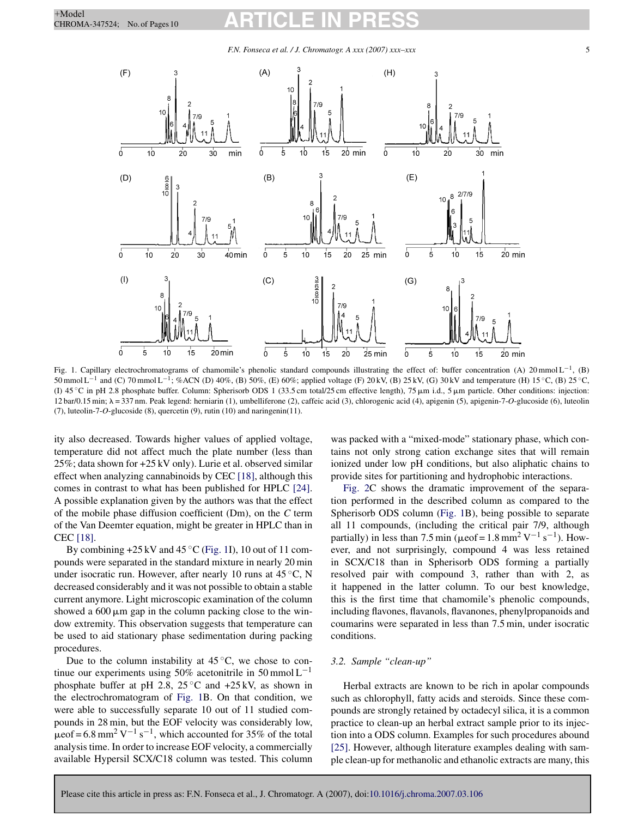#### *F.N. Fonseca et al. / J. Chromatogr. A xxx (2007) xxx–xxx* 5



Fig. 1. Capillary electrochromatograms of chamomile's phenolic standard compounds illustrating the effect of: buffer concentration (A) 20 mmol L<sup>-1</sup>, (B) 50 mmol L<sup>-1</sup> and (C) 70 mmol L<sup>-1</sup>; %ACN (D) 40%, (B) 50%, (E) 60%; applied voltage (F) 20 kV, (B) 25 kV, (G) 30 kV and temperature (H) 15 °C, (B) 25 °C, (I)  $45^{\circ}$ C in pH 2.8 phosphate buffer. Column: Spherisorb ODS 1 (33.5 cm total/25 cm effective length), 75  $\mu$ m i.d., 5  $\mu$ m particle. Other conditions: injection: 12 bar/0.15 min;  $\lambda = 337$  nm. Peak legend: herniarin (1), umbelliferone (2), caffeic acid (3), chlorogenic acid (4), apigenin (5), apigenin-7-*O*-glucoside (6), luteolin (7), luteolin-7-*O*-glucoside (8), quercetin (9), rutin (10) and naringenin(11).

ity also decreased. Towards higher values of applied voltage, temperature did not affect much the plate number (less than 25%; data shown for +25 kV only). Lurie et al. observed similar effect when analyzing cannabinoids by CEC [18], although this comes in contrast to what has been published for HPLC [24]. A possible explanation given by the authors was that the effect of the mobile phase diffusion coefficient (Dm), on the *C* term of the Van Deemter equation, might be greater in HPLC than in CEC [18].

By combining  $+25$  kV and  $45^{\circ}$ C (Fig. 1I), 10 out of 11 compounds were separated in the standard mixture in nearly 20 min under isocratic run. However, after nearly 10 runs at  $45^{\circ}$ C, N decreased considerably and it was not possible to obtain a stable current anymore. Light microscopic examination of the column showed a  $600 \mu m$  gap in the column packing close to the window extremity. This observation suggests that temperature can be used to aid stationary phase sedimentation during packing procedures.

Due to the column instability at  $45^{\circ}$ C, we chose to continue our experiments using 50% acetonitrile in 50 mmol  $L^{-1}$ phosphate buffer at pH 2.8, 25 °C and  $+25$  kV, as shown in the electrochromatogram of Fig. 1B. On that condition, we were able to successfully separate 10 out of 11 studied compounds in 28 min, but the EOF velocity was considerably low,  $\mu$ eof = 6.8 mm<sup>2</sup> V<sup>-1</sup> s<sup>-1</sup>, which accounted for 35% of the total analysis time. In order to increase EOF velocity, a commercially available Hypersil SCX/C18 column was tested. This column was packed with a "mixed-mode" stationary phase, which contains not only strong cation exchange sites that will remain ionized under low pH conditions, but also aliphatic chains to provide sites for partitioning and hydrophobic interactions.

Fig. 2C shows the dramatic improvement of the separation performed in the described column as compared to the Spherisorb ODS column (Fig. 1B), being possible to separate all 11 compounds, (including the critical pair 7/9, although partially) in less than 7.5 min ( $\mu$ eof = 1.8 mm<sup>2</sup> V<sup>-1</sup> s<sup>-1</sup>). However, and not surprisingly, compound 4 was less retained in SCX/C18 than in Spherisorb ODS forming a partially resolved pair with compound 3, rather than with 2, as it happened in the latter column. To our best knowledge, this is the first time that chamomile's phenolic compounds, including flavones, flavanols, flavanones, phenylpropanoids and coumarins were separated in less than 7.5 min, under isocratic conditions.

#### *3.2. Sample "clean-up"*

Herbal extracts are known to be rich in apolar compounds such as chlorophyll, fatty acids and steroids. Since these compounds are strongly retained by octadecyl silica, it is a common practice to clean-up an herbal extract sample prior to its injection into a ODS column. Examples for such procedures abound [25]. However, although literature examples dealing with sample clean-up for methanolic and ethanolic extracts are many, this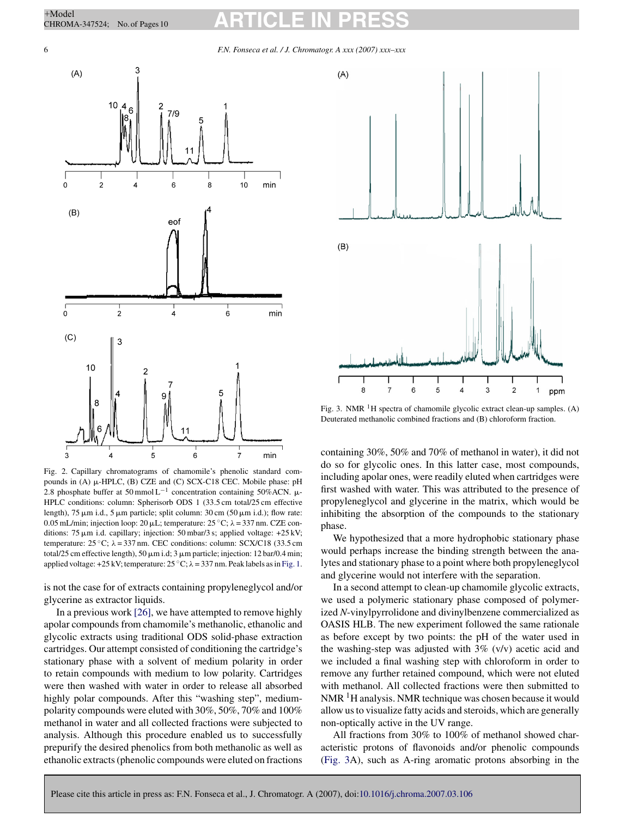6 *F.N. Fonseca et al. / J. Chromatogr. A xxx (2007) xxx–xxx*



Fig. 2. Capillary chromatograms of chamomile's phenolic standard compounds in  $(A)$   $\mu$ -HPLC,  $(B)$  CZE and  $(C)$  SCX-C18 CEC. Mobile phase: pH 2.8 phosphate buffer at 50 mmol L<sup>-1</sup> concentration containing 50%ACN.  $\mu$ -HPLC conditions: column: Spherisorb ODS 1 (33.5 cm total/25 cm effective length), 75  $\mu$ m i.d., 5  $\mu$ m particle; split column: 30 cm (50  $\mu$ m i.d.); flow rate: 0.05 mL/min; injection loop: 20  $\mu$ L; temperature: 25 °C;  $\lambda$  = 337 nm. CZE conditions: 75  $\mu$ m i.d. capillary; injection: 50 mbar/3 s; applied voltage: +25 kV; temperature:  $25^{\circ}$ C;  $\lambda = 337$  nm. CEC conditions: column: SCX/C18 (33.5 cm total/25 cm effective length), 50  $\mu$ m i.d; 3  $\mu$ m particle; injection: 12 bar/0.4 min; applied voltage: +25 kV; temperature:  $25^{\circ}$ C;  $\lambda$  = 337 nm. Peak labels as in Fig. 1.

is not the case for of extracts containing propyleneglycol and/or glycerine as extractor liquids.

In a previous work [26], we have attempted to remove highly apolar compounds from chamomile's methanolic, ethanolic and glycolic extracts using traditional ODS solid-phase extraction cartridges. Our attempt consisted of conditioning the cartridge's stationary phase with a solvent of medium polarity in order to retain compounds with medium to low polarity. Cartridges were then washed with water in order to release all absorbed highly polar compounds. After this "washing step", mediumpolarity compounds were eluted with 30%, 50%, 70% and 100% methanol in water and all collected fractions were subjected to analysis. Although this procedure enabled us to successfully prepurify the desired phenolics from both methanolic as well as ethanolic extracts (phenolic compounds were eluted on fractions



Fig. 3. NMR  $<sup>1</sup>H$  spectra of chamomile glycolic extract clean-up samples. (A)</sup> Deuterated methanolic combined fractions and (B) chloroform fraction.

containing 30%, 50% and 70% of methanol in water), it did not do so for glycolic ones. In this latter case, most compounds, including apolar ones, were readily eluted when cartridges were first washed with water. This was attributed to the presence of propyleneglycol and glycerine in the matrix, which would be inhibiting the absorption of the compounds to the stationary phase.

We hypothesized that a more hydrophobic stationary phase would perhaps increase the binding strength between the analytes and stationary phase to a point where both propyleneglycol and glycerine would not interfere with the separation.

In a second attempt to clean-up chamomile glycolic extracts, we used a polymeric stationary phase composed of polymerized *N*-vinylpyrrolidone and divinylbenzene commercialized as OASIS HLB. The new experiment followed the same rationale as before except by two points: the pH of the water used in the washing-step was adjusted with  $3\%$  (v/v) acetic acid and we included a final washing step with chloroform in order to remove any further retained compound, which were not eluted with methanol. All collected fractions were then submitted to  $NMR<sup>1</sup>H$  analysis. NMR technique was chosen because it would allow us to visualize fatty acids and steroids, which are generally non-optically active in the UV range.

All fractions from 30% to 100% of methanol showed characteristic protons of flavonoids and/or phenolic compounds (Fig. 3A), such as A-ring aromatic protons absorbing in the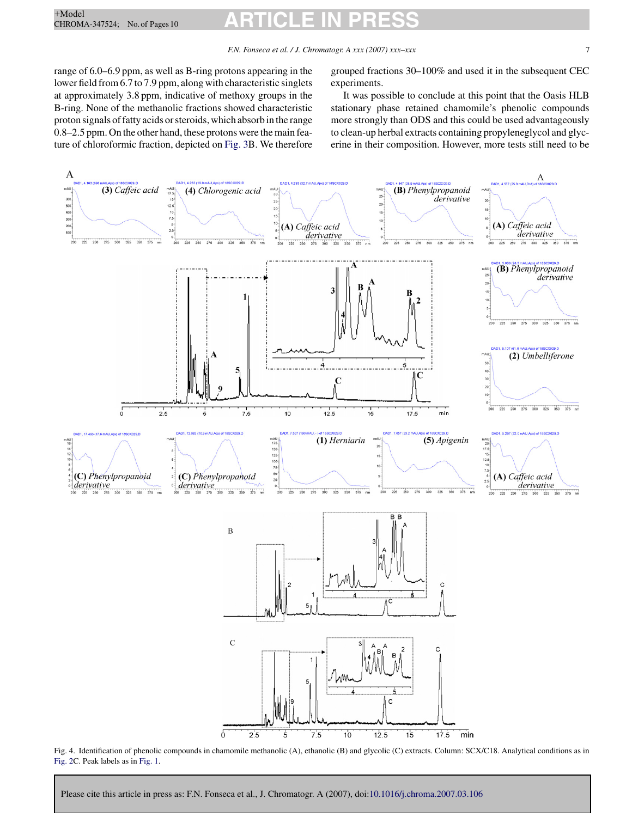range of 6.0–6.9 ppm, as well as B-ring protons appearing in the lower field from 6.7 to 7.9 ppm, along with characteristic singlets at approximately 3.8 ppm, indicative of methoxy groups in the B-ring. None of the methanolic fractions showed characteristic proton signals of fatty acids or steroids, which absorb in the range 0.8–2.5 ppm. On the other hand, these protons were the main feature of chloroformic fraction, depicted on Fig. 3B. We therefore grouped fractions 30–100% and used it in the subsequent CEC experiments.

It was possible to conclude at this point that the Oasis HLB stationary phase retained chamomile's phenolic compounds more strongly than ODS and this could be used advantageously to clean-up herbal extracts containing propyleneglycol and glycerine in their composition. However, more tests still need to be



Fig. 4. Identification of phenolic compounds in chamomile methanolic (A), ethanolic (B) and glycolic (C) extracts. Column: SCX/C18. Analytical conditions as in Fig. 2C. Peak labels as in Fig. 1.

Please cite this article in press as: F.N. Fonseca et al., J. Chromatogr. A (2007), doi:10.1016/j.chroma.2007.03.106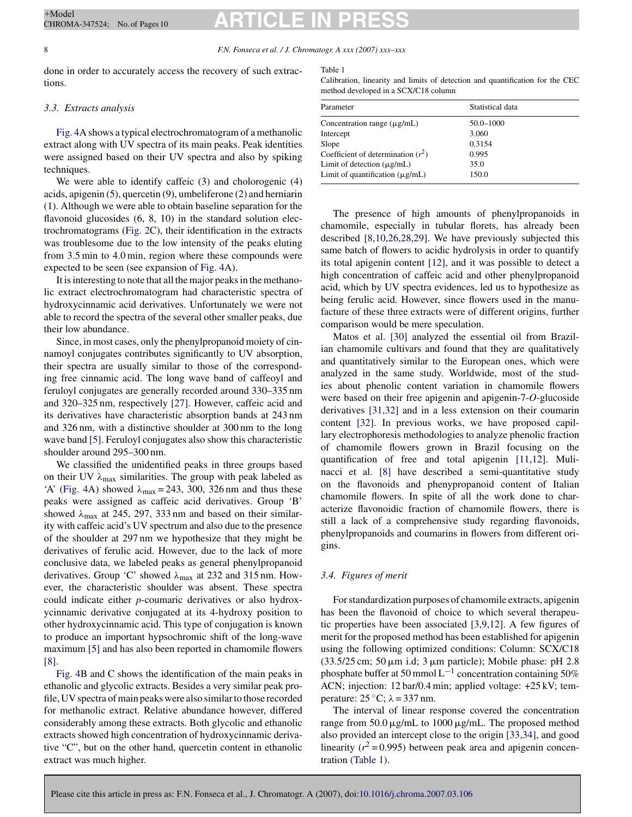#### 8 *F.N. Fonseca et al. / J. Chromatogr. A xxx (2007) xxx–xxx*

done in order to accurately access the recovery of such extractions.

#### *3.3. Extracts analysis*

Fig. 4A shows a typical electrochromatogram of a methanolic extract along with UV spectra of its main peaks. Peak identities were assigned based on their UV spectra and also by spiking techniques.

We were able to identify caffeic (3) and cholorogenic (4) acids, apigenin (5), quercetin (9), umbeliferone (2) and herniarin (1). Although we were able to obtain baseline separation for the flavonoid glucosides  $(6, 8, 10)$  in the standard solution electrochromatograms (Fig. 2C), their identification in the extracts was troublesome due to the low intensity of the peaks eluting from 3.5 min to 4.0 min, region where these compounds were expected to be seen (see expansion of Fig. 4A).

It is interesting to note that all the major peaks in the methanolic extract electrochromatogram had characteristic spectra of hydroxycinnamic acid derivatives. Unfortunately we were not able to record the spectra of the several other smaller peaks, due their low abundance.

Since, in most cases, only the phenylpropanoid moiety of cinnamoyl conjugates contributes significantly to UV absorption, their spectra are usually similar to those of the corresponding free cinnamic acid. The long wave band of caffeoyl and feruloyl conjugates are generally recorded around 330–335 nm and 320–325 nm, respectively [27]. However, caffeic acid and its derivatives have characteristic absorption bands at 243 nm and 326 nm, with a distinctive shoulder at 300 nm to the long wave band [5]. Feruloyl conjugates also show this characteristic shoulder around 295–300 nm.

We classified the unidentified peaks in three groups based on their UV  $\lambda_{\text{max}}$  similarities. The group with peak labeled as 'A' (Fig. 4A) showed  $\lambda_{\text{max}} = 243$ , 300, 326 nm and thus these peaks were assigned as caffeic acid derivatives. Group 'B' showed  $\lambda_{\text{max}}$  at 245, 297, 333 nm and based on their similarity with caffeic acid's UV spectrum and also due to the presence of the shoulder at 297 nm we hypothesize that they might be derivatives of ferulic acid. However, due to the lack of more conclusive data, we labeled peaks as general phenylpropanoid derivatives. Group 'C' showed  $\lambda_{\text{max}}$  at 232 and 315 nm. However, the characteristic shoulder was absent. These spectra could indicate either *p*-coumaric derivatives or also hydroxycinnamic derivative conjugated at its 4-hydroxy position to other hydroxycinnamic acid. This type of conjugation is known to produce an important hypsochromic shift of the long-wave maximum [5] and has also been reported in chamomile flowers [8].

Fig. 4B and C shows the identification of the main peaks in ethanolic and glycolic extracts. Besides a very similar peak profile, UV spectra of main peaks were also similar to those recorded for methanolic extract. Relative abundance however, differed considerably among these extracts. Both glycolic and ethanolic extracts showed high concentration of hydroxycinnamic derivative "C", but on the other hand, quercetin content in ethanolic extract was much higher.

Table 1

Calibration, linearity and limits of detection and quantification for the CEC method developed in a SCX/C18 column

| Parameter                            | Statistical data |  |
|--------------------------------------|------------------|--|
| Concentration range $(\mu$ g/mL)     | 50.0-1000        |  |
| Intercept                            | 3.060            |  |
| Slope                                | 0.3154           |  |
| Coefficient of determination $(r^2)$ | 0.995            |  |
| Limit of detection $(\mu g/mL)$      | 35.0             |  |
| Limit of quantification $(\mu g/mL)$ | 150.0            |  |
|                                      |                  |  |

The presence of high amounts of phenylpropanoids in chamomile, especially in tubular florets, has already been described [8,10,26,28,29]. We have previously subjected this same batch of flowers to acidic hydrolysis in order to quantify its total apigenin content [12], and it was possible to detect a high concentration of caffeic acid and other phenylpropanoid acid, which by UV spectra evidences, led us to hypothesize as being ferulic acid. However, since flowers used in the manufacture of these three extracts were of different origins, further comparison would be mere speculation.

Matos et al. [30] analyzed the essential oil from Brazilian chamomile cultivars and found that they are qualitatively and quantitatively similar to the European ones, which were analyzed in the same study. Worldwide, most of the studies about phenolic content variation in chamomile flowers were based on their free apigenin and apigenin-7-*O*-glucoside derivatives [31,32] and in a less extension on their coumarin content [32]. In previous works, we have proposed capillary electrophoresis methodologies to analyze phenolic fraction of chamomile flowers grown in Brazil focusing on the quantification of free and total apigenin [11,12]. Mulinacci et al. [8] have described a semi-quantitative study on the flavonoids and phenypropanoid content of Italian chamomile flowers. In spite of all the work done to characterize flavonoidic fraction of chamomile flowers, there is still a lack of a comprehensive study regarding flavonoids, phenylpropanoids and coumarins in flowers from different origins.

#### *3.4. Figures of merit*

For standardization purposes of chamomile extracts, apigenin has been the flavonoid of choice to which several therapeutic properties have been associated [3,9,12]. A few figures of merit for the proposed method has been established for apigenin using the following optimized conditions: Column: SCX/C18 (33.5/25 cm; 50  $\mu$ m i.d; 3  $\mu$ m particle); Mobile phase: pH 2.8 phosphate buffer at 50 mmol L<sup>-1</sup> concentration containing 50% ACN; injection: 12 bar/0.4 min; applied voltage: +25 kV; temperature:  $25^{\circ}$ C;  $\lambda = 337$  nm.

The interval of linear response covered the concentration range from  $50.0 \,\mu\text{g/mL}$  to  $1000 \,\mu\text{g/mL}$ . The proposed method also provided an intercept close to the origin [33,34], and good linearity  $(r^2 = 0.995)$  between peak area and apigenin concentration (Table 1).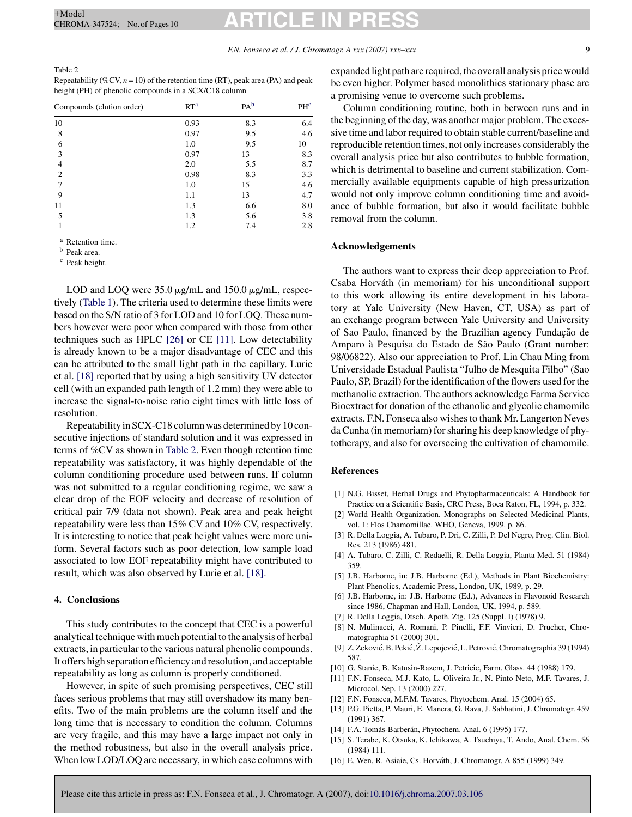#### Table 2 Repeatability (%CV,  $n = 10$ ) of the retention time (RT), peak area (PA) and peak height (PH) of phenolic compounds in a SCX/C18 column

| Compounds (elution order) | RT <sup>a</sup> | PA <sup>b</sup> | PHc |
|---------------------------|-----------------|-----------------|-----|
| 10                        | 0.93            | 8.3             | 6.4 |
| 8                         | 0.97            | 9.5             | 4.6 |
| 6                         | 1.0             | 9.5             | 10  |
| 3                         | 0.97            | 13              | 8.3 |
| 4                         | 2.0             | 5.5             | 8.7 |
| $\overline{c}$            | 0.98            | 8.3             | 3.3 |
|                           | 1.0             | 15              | 4.6 |
| 9                         | 1.1             | 13              | 4.7 |
| 11                        | 1.3             | 6.6             | 8.0 |
| 5                         | 1.3             | 5.6             | 3.8 |
|                           | 1.2             | 7.4             | 2.8 |

<sup>a</sup> Retention time.

<sup>b</sup> Peak area.

<sup>c</sup> Peak height.

LOD and LOQ were  $35.0 \mu$ g/mL and  $150.0 \mu$ g/mL, respectively (Table 1). The criteria used to determine these limits were based on the S/N ratio of 3 for LOD and 10 for LOQ. These numbers however were poor when compared with those from other techniques such as HPLC [26] or CE [11]. Low detectability is already known to be a major disadvantage of CEC and this can be attributed to the small light path in the capillary. Lurie et al. [18] reported that by using a high sensitivity UV detector cell (with an expanded path length of 1.2 mm) they were able to increase the signal-to-noise ratio eight times with little loss of resolution.

Repeatability in SCX-C18 column was determined by 10 consecutive injections of standard solution and it was expressed in terms of %CV as shown in Table 2. Even though retention time repeatability was satisfactory, it was highly dependable of the column conditioning procedure used between runs. If column was not submitted to a regular conditioning regime, we saw a clear drop of the EOF velocity and decrease of resolution of critical pair 7/9 (data not shown). Peak area and peak height repeatability were less than 15% CV and 10% CV, respectively. It is interesting to notice that peak height values were more uniform. Several factors such as poor detection, low sample load associated to low EOF repeatability might have contributed to result, which was also observed by Lurie et al. [18].

#### **4. Conclusions**

This study contributes to the concept that CEC is a powerful analytical technique with much potential to the analysis of herbal extracts, in particular to the various natural phenolic compounds. It offers high separation efficiency and resolution, and acceptable repeatability as long as column is properly conditioned.

However, in spite of such promising perspectives, CEC still faces serious problems that may still overshadow its many benefits. Two of the main problems are the column itself and the long time that is necessary to condition the column. Columns are very fragile, and this may have a large impact not only in the method robustness, but also in the overall analysis price. When low LOD/LOQ are necessary, in which case columns with expanded light path are required, the overall analysis price would be even higher. Polymer based monolithics stationary phase are a promising venue to overcome such problems.

Column conditioning routine, both in between runs and in the beginning of the day, was another major problem. The excessive time and labor required to obtain stable current/baseline and reproducible retention times, not only increases considerably the overall analysis price but also contributes to bubble formation, which is detrimental to baseline and current stabilization. Commercially available equipments capable of high pressurization would not only improve column conditioning time and avoidance of bubble formation, but also it would facilitate bubble removal from the column.

#### **Acknowledgements**

The authors want to express their deep appreciation to Prof. Csaba Horváth (in memoriam) for his unconditional support to this work allowing its entire development in his laboratory at Yale University (New Haven, CT, USA) as part of an exchange program between Yale University and University of Sao Paulo, financed by the Brazilian agency Fundação de Amparo à Pesquisa do Estado de São Paulo (Grant number: 98/06822). Also our appreciation to Prof. Lin Chau Ming from Universidade Estadual Paulista "Julho de Mesquita Filho" (Sao Paulo, SP, Brazil) for the identification of the flowers used for the methanolic extraction. The authors acknowledge Farma Service Bioextract for donation of the ethanolic and glycolic chamomile extracts. F.N. Fonseca also wishes to thank Mr. Langerton Neves da Cunha (in memoriam) for sharing his deep knowledge of phytotherapy, and also for overseeing the cultivation of chamomile.

#### **References**

- [1] N.G. Bisset, Herbal Drugs and Phytopharmaceuticals: A Handbook for Practice on a Scientific Basis, CRC Press, Boca Raton, FL, 1994, p. 332.
- [2] World Health Organization. Monographs on Selected Medicinal Plants, vol. 1: Flos Chamomillae. WHO, Geneva, 1999. p. 86.
- [3] R. Della Loggia, A. Tubaro, P. Dri, C. Zilli, P. Del Negro, Prog. Clin. Biol. Res. 213 (1986) 481.
- [4] A. Tubaro, C. Zilli, C. Redaelli, R. Della Loggia, Planta Med. 51 (1984) 359.
- [5] J.B. Harborne, in: J.B. Harborne (Ed.), Methods in Plant Biochemistry: Plant Phenolics, Academic Press, London, UK, 1989, p. 29.
- [6] J.B. Harborne, in: J.B. Harborne (Ed.), Advances in Flavonoid Research since 1986, Chapman and Hall, London, UK, 1994, p. 589.
- [7] R. Della Loggia, Dtsch. Apoth. Ztg. 125 (Suppl. I) (1978) 9.
- [8] N. Mulinacci, A. Romani, P. Pinelli, F.F. Vinvieri, D. Prucher, Chromatographia 51 (2000) 301.
- [9] Z. Zeković, B. Pekić, Ž. Lepojević, L. Petrović, Chromatographia 39 (1994) 587.
- [10] G. Stanic, B. Katusin-Razem, J. Petricic, Farm. Glass. 44 (1988) 179.
- [11] F.N. Fonseca, M.J. Kato, L. Oliveira Jr., N. Pinto Neto, M.F. Tavares, J. Microcol. Sep. 13 (2000) 227.
	- [12] F.N. Fonseca, M.F.M. Tavares, Phytochem. Anal. 15 (2004) 65.
	- [13] P.G. Pietta, P. Mauri, E. Manera, G. Rava, J. Sabbatini, J. Chromatogr. 459 (1991) 367.
	- [14] F.A. Tomás-Barberán, Phytochem. Anal. 6 (1995) 177.
	- [15] S. Terabe, K. Otsuka, K. Ichikawa, A. Tsuchiya, T. Ando, Anal. Chem. 56 (1984) 111.
	- [16] E. Wen, R. Asiaie, Cs. Horváth, J. Chromatogr. A 855 (1999) 349.